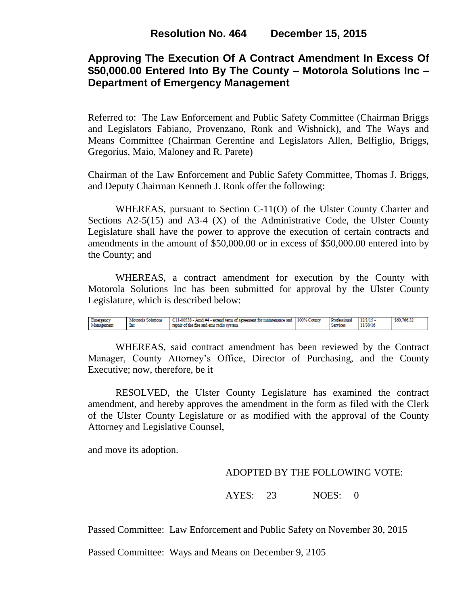# **Approving The Execution Of A Contract Amendment In Excess Of \$50,000.00 Entered Into By The County – Motorola Solutions Inc – Department of Emergency Management**

Referred to: The Law Enforcement and Public Safety Committee (Chairman Briggs and Legislators Fabiano, Provenzano, Ronk and Wishnick), and The Ways and Means Committee (Chairman Gerentine and Legislators Allen, Belfiglio, Briggs, Gregorius, Maio, Maloney and R. Parete)

Chairman of the Law Enforcement and Public Safety Committee, Thomas J. Briggs, and Deputy Chairman Kenneth J. Ronk offer the following:

WHEREAS, pursuant to Section C-11(O) of the Ulster County Charter and Sections  $A2-5(15)$  and  $A3-4(X)$  of the Administrative Code, the Ulster County Legislature shall have the power to approve the execution of certain contracts and amendments in the amount of \$50,000.00 or in excess of \$50,000.00 entered into by the County; and

WHEREAS, a contract amendment for execution by the County with Motorola Solutions Inc has been submitted for approval by the Ulster County Legislature, which is described below:

```
Motorola Solutions<br>Inc
                                                C11-00538 - Amd #4 - extend term of agreement for maintenance and 100% County
                                                                                                                                                                                  $60,766.32
Emergency<br>Management
                                                                                                                                             Professional
                                                                                                                                                              12/1/15repair of the fire and ems radio system
                                                                                                                                             Services
                                                                                                                                                             11/30/16
```
WHEREAS, said contract amendment has been reviewed by the Contract Manager, County Attorney's Office, Director of Purchasing, and the County Executive; now, therefore, be it

RESOLVED, the Ulster County Legislature has examined the contract amendment, and hereby approves the amendment in the form as filed with the Clerk of the Ulster County Legislature or as modified with the approval of the County Attorney and Legislative Counsel,

and move its adoption.

## ADOPTED BY THE FOLLOWING VOTE:

AYES: 23 NOES: 0

Passed Committee: Law Enforcement and Public Safety on November 30, 2015

Passed Committee: Ways and Means on December 9, 2105